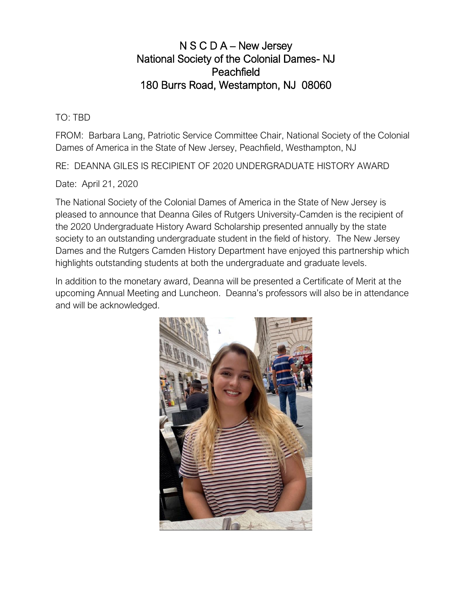## N S C D A – New Jersey National Society of the Colonial Dames- NJ Peachfield 180 Burrs Road, Westampton, NJ 08060

TO: TBD

FROM: Barbara Lang, Patriotic Service Committee Chair, National Society of the Colonial Dames of America in the State of New Jersey, Peachfield, Westhampton, NJ

RE: DEANNA GILES IS RECIPIENT OF 2020 UNDERGRADUATE HISTORY AWARD

Date: April 21, 2020

The National Society of the Colonial Dames of America in the State of New Jersey is pleased to announce that Deanna Giles of Rutgers University-Camden is the recipient of the 2020 Undergraduate History Award Scholarship presented annually by the state society to an outstanding undergraduate student in the field of history. The New Jersey Dames and the Rutgers Camden History Department have enjoyed this partnership which highlights outstanding students at both the undergraduate and graduate levels.

In addition to the monetary award, Deanna will be presented a Certificate of Merit at the upcoming Annual Meeting and Luncheon. Deanna's professors will also be in attendance and will be acknowledged.